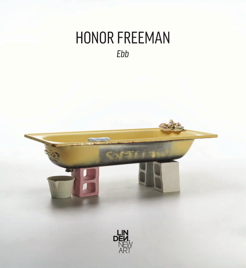## HONOR FREEMAN *Ebb*

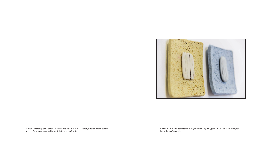

IMAGES > [Front cover] Honor Freeman, *And the tide rises, the tide falls*, 2022, porcelain, stoneware, enamel bathtub, 94 x 152 x 76 cm. Image courtesy of the artist. Photograph: Sam Roberts.

IMAGES > Honor Freeman, *Soap + Sponge study* [installation view], 2022, porcelain, 13 x 20 x 2.5 cm. Photograph: Theresa Harrison Photography.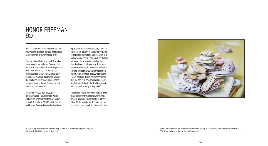IMAGE > Honor Freeman, *And the tide rises, the tide falls* [detail], 2022, porcelain, stoneware, enamel bathtub, 94 x 152 x 76 cm. Photograph: Theresa Harrison Photography.

"*Tears are the most substantial and yet the most fleeting, the most obvious and the most enigmatic proof of our emotional lives*." 1

a particular item in the collection; a delicate Roman glass flask from 2nd century AD. The form resembled that of a vessel known as a lachrymatory, or tear flask. Much mythology surrounds these objects, including their function in grief and mourning. They were found in Greek and Roman tombs and were thought to hold the tears of loved ones. In her research, Freeman discovered that this theory has been debunked in recent times, "but the poetry of objects collecting tears and being buried with the dead is a potent idea that resists being extinguished". <sup>2</sup>

*Ebb* is a solo-exhibition by South Australian based, ceramic artist Honor Freeman, that showcases a new series of intricate porcelain sculptures. Featuring a bathtub, plugs, soaps, sponges and an intriguing series of vessels including rain gauges and buckets, the exhibition explores water as a potent metaphor to describe our fluctuating and often turbulent emotions.

The works evolved from a research residency, called The Collections Project, undertaken by the artist at the Art Gallery of South Australia in 2018-19, facilitated by Guildhouse. Freeman became intrigued with The exhibition presents work that has been made as part of the artist's own mourning process following the death of her father. Titled *All the tears I cried*, the series of cast porcelain buckets, each seemingly full to the



#### HONOR FREEMAN *Ebb*

<sup>&</sup>lt;sup>1</sup> Lutz, T. *Crying The Natural and Cultural History of Tears*, W.W. Norton and Company, 1999, p.29 <br><sup>2</sup> Freeman, H. Exhibition statement, April 2022 <sup>2</sup> Freeman, H. Exhibition statement, April 2022.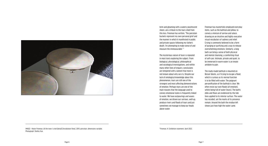IMAGE > Honor Freeman, *All the tears I cried* [detail] [Installation View], 2019, porcelain, dimensions variable. Photograph: Shelley Xue.



brim and gleaming with a watery pearlescent sheen, are a tribute to the tears shed from this loss. Freeman has written, "The porcelain buckets represent my own personal grief and the manner in which it manifested in public and private spaces following my father's death. I'm attempting to make sense of and measure the immeasurable." 3

The mysterious nature of tears is repeated in most texts exploring the subject. From biological, physiological, philosophical and sociological investigations, and within many other lines of enquiry, conclusions are tempered with a lament that more is not known about why we cry. Despite our lack of ontological knowledge about this phenomenon, tears are still one of the strongest and most affecting demonstrations of emotion. Perhaps tears are one of the main reasons that the language used to convey emotional states is frequently linked to water. We have outpourings and waves of emotion, we drown our sorrows, well-up, produce rivers and floods of tears and just sometimes we manage to keep our heads above water.

Freeman has masterfully employed everyday items, such as the bathtub and pillow, to convey a mixture of sorrow and solace, drawing on an intuitive and highly evocative visual vocabulary of sadness and relief. Crying is commonly believed to be a form of purging or purifying and a way to release overwhelming emotions. Similarly, a long bath can bring a sense of both physical and mental cleansing, a comforting ritual of self-care. Intimate, private and quiet, to be immersed in warm water is an innate antidote to pain.

The ready-made bathtub is mounted on Besser blocks, as if trying to escape a flood, which is curious as its normal function is to be filled with water. The poignant personification of the bathtub is clear. We often resist our own floods (of emotion), whilst being full of water (tears). The bath's ebbs and flows are evidenced by the tide lines applied to its interior surface. The water has receded, yet the marks of its presence remain. Around the bath the residue left shows just how high the water came.

3 Freeman, H. Exhibition statement, April 2022.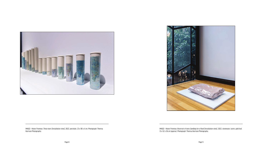



IMAGE > Honor Freeman, *These tears* [Installation view], 2022, porcelain, 23 x 90 x 4 cm. Photograph: Theresa Harrison Photography.

IMAGE > Honor Freeman, *Reservoir of tears.Sandbag for a flood* [Installation view], 2022, stoneware, lustre, gold leaf, 13 x 52 x 36 cm (approx). Photograph: Theresa Harrison Photography.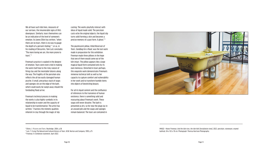We all have such tide lines, measures of our sorrows, the innumerable signs of life's downpours. Similarly, tears themselves can be an indication of the level of someone's emotion. As James Elkin has written, "when there are no tears, there is no way to gauge the depth of a person's feeling." 4 , or as, in his reading of Descartes, Tom Lutz concludes "The more loving we are, the more prone to tears". 5

Freeman's practice is soaked in the deepest of emotion. Tears were even cried in making the work itself due to the risky nature of firing clay and the inevitable failures along the way. The fragility of the porcelain also reflects the all too easily damaged human psyche. A small, precarious stack of soaps and sponges sits on the edge of the bath, which could easily be swept away should the foreboding flood arrive.

Freeman's technical process in making the works is also highly symbolic in its relationship to water and the capacity of liquid to be transformative. The artist has written, "I harness the mimetic qualities inherent in clay through the magic of slip

casting. The works playfully interact with ideas of liquid made solid. The porcelain casts echo the original objects; the liquid slip turns solid forming a skin and becomes a precise memory of a past form. A ghost." 6

The pearlescent pillow, titled *Reservoir of Tears. Sandbag for a flood*, was the last work made in preparation for this exhibition. Freeman made three pillows in the hope that one of them would come out of the kiln intact. The pillow appears like a large magical liquid form contained only by its own meniscus. Drenched in tears perhaps, this exquisite work demonstrates Freeman's immense technical skill as well as her capacity to capture comfort and vulnerability in her work and to transform humble items into objects of bewitching beauty.

For all its liquid content and the confluence of references to the transience of human existence, there is something solid and reassuring about Freeman's work. These soaps will never dissolve. The bath is presented as dry, so for now the plugs lay in an unused pile and the soaps and sponges remain balanced. The tears are contained in



IMAGE > Honor Freeman, *And the tide rises, the tide falls* [Installation view], 2022, porcelain, stoneware, enamel bathtub, 94 x 152 x 76 cm. Photograph: Theresa Harrison Photography.

<sup>4</sup> Elkins, J. Pictures and Tears, Routledge, 2004, p.38<br><sup>5</sup> Lutz, J. Crying The Natural and Cultural History of J <sup>5</sup> Lutz, T. *Crying The Natural and Cultural History of Tears*, W.W. Norton and Company, 1999, p.75

<sup>&</sup>lt;sup>6</sup> Freeman, H. Exhibition statement, April 2022.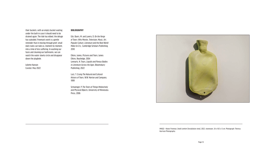their buckets, with an empty bucket waiting under the bath in case it should need to be drained again. The tide has ebbed, the deluge has subsided. Freeman's work is a gentle reminder that in moving through grief, small daily tasks can take us, moment by moment, into a time of less suffering. In washing our faces and cleaning our bathrooms, we can watch the water slowly circle and disappear down the plughole.

Juliette Hanson Curator, May 2022

#### **BIBLIOGRAPHY**

Eds. Byers, M. and Lavery, D. *On the Verge of Tears: Why Movies, Television, Music, Art, Popular Culture, Literature and the Real World Make Us Cry.*, Cambridge Scholars Publishing, 2010

Elkins, James, *Pictures and Tears*, James Elkins, Routledge, 2004 Lennartz, N. Tears, *Liquids and Porous Bodies in Literature Across the Ages*, Bloomsbury Publishing, 2022

Lutz, T. *Crying The Natural and Cultural History of Tears*, W.W. Norton and Company, 1999

Schwenger, P. *The Tears of Things Melancholy and Physical Objects*, University of Minnesota Press, 2006



IMAGE > Honor Freeman, *Small comfort* [Installation view], 2022, stoneware, 34 x 18.5 x 5 cm. Photograph: Theresa Harrison Photography.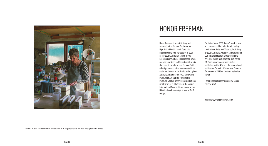Honor Freeman is an artist living and working in the Fleurieu Peninsula on Ngarrindjeri land in South Australia. Freeman completed her studies in 2001 at the South Australian School of Art. Following graduation, Freeman took up an Associate position and Tenant residency in the ceramics studio at Jam Factory Craft & Design. Her work has been curated into major exhibitions at institutions throughout Australia, including the MCA, Tarrawarra Museum of Art and The Powerhouse Museum. She has undertaken international residencies at Guldagergaard, Denmark's International Ceramic Museum and in the US at Indiana University's School of Art & Design.

Exhibiting since 2000, Honor's work is held in numerous public collections including the National Gallery of Victoria, Art Gallery of South Australia, ArtBank and Washington DC's National Museum of Women in the Arts. Her works feature in the publication *101 Contemporary Australian Artists*, published by the NGV, and the international publication *Ceramics Masterclass: Creative Techniques of 100 Great Artists*, by Louisa Taylor.

Honor Freeman is represented by Sabbia Gallery, NSW

<https://www.honorfreeman.com/>



# HONOR FREEMAN

IMAGE > Portrait of Honor Freeman in the studio, 2021. Image courtesy of the artist. Photograph: Alex Beckett